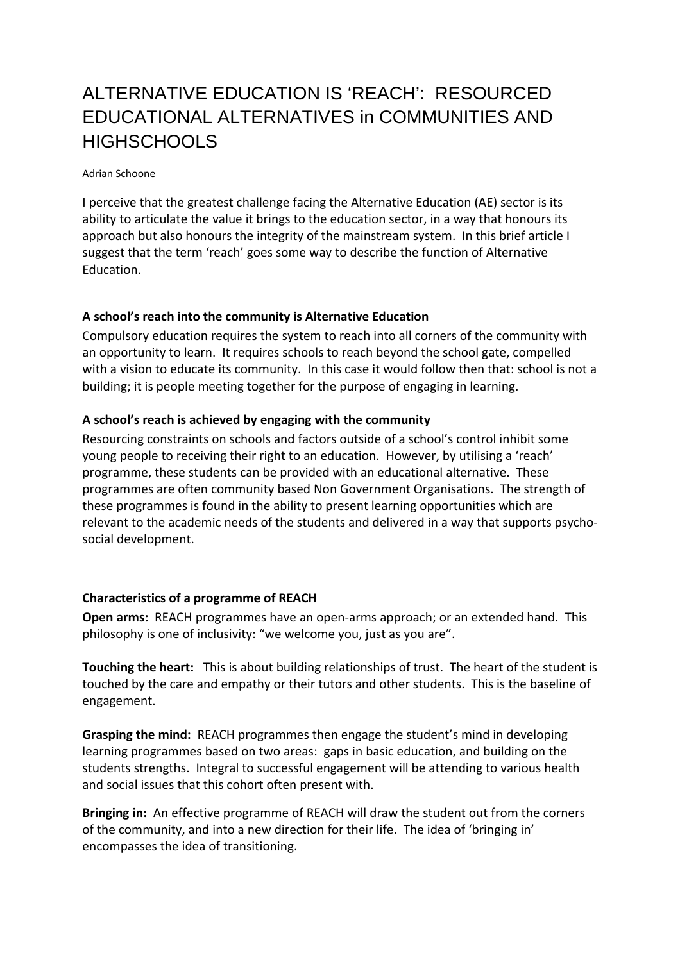# ALTERNATIVE EDUCATION IS 'REACH': RESOURCED EDUCATIONAL ALTERNATIVES in COMMUNITIES AND **HIGHSCHOOLS**

#### Adrian Schoone

I perceive that the greatest challenge facing the Alternative Education (AE) sector is its ability to articulate the value it brings to the education sector, in a way that honours its approach but also honours the integrity of the mainstream system. In this brief article I suggest that the term 'reach' goes some way to describe the function of Alternative Education.

# **A school's reach into the community is Alternative Education**

Compulsory education requires the system to reach into all corners of the community with an opportunity to learn. It requires schools to reach beyond the school gate, compelled with a vision to educate its community. In this case it would follow then that: school is not a building; it is people meeting together for the purpose of engaging in learning.

### **A school's reach is achieved by engaging with the community**

Resourcing constraints on schools and factors outside of a school's control inhibit some young people to receiving their right to an education. However, by utilising a 'reach' programme, these students can be provided with an educational alternative. These programmes are often community based Non Government Organisations. The strength of these programmes is found in the ability to present learning opportunities which are relevant to the academic needs of the students and delivered in a way that supports psychosocial development.

# **Characteristics of a programme of REACH**

**Open arms:** REACH programmes have an open-arms approach; or an extended hand. This philosophy is one of inclusivity: "we welcome you, just as you are".

**Touching the heart:** This is about building relationships of trust. The heart of the student is touched by the care and empathy or their tutors and other students. This is the baseline of engagement.

**Grasping the mind:** REACH programmes then engage the student's mind in developing learning programmes based on two areas: gaps in basic education, and building on the students strengths. Integral to successful engagement will be attending to various health and social issues that this cohort often present with.

**Bringing in:** An effective programme of REACH will draw the student out from the corners of the community, and into a new direction for their life. The idea of 'bringing in' encompasses the idea of transitioning.